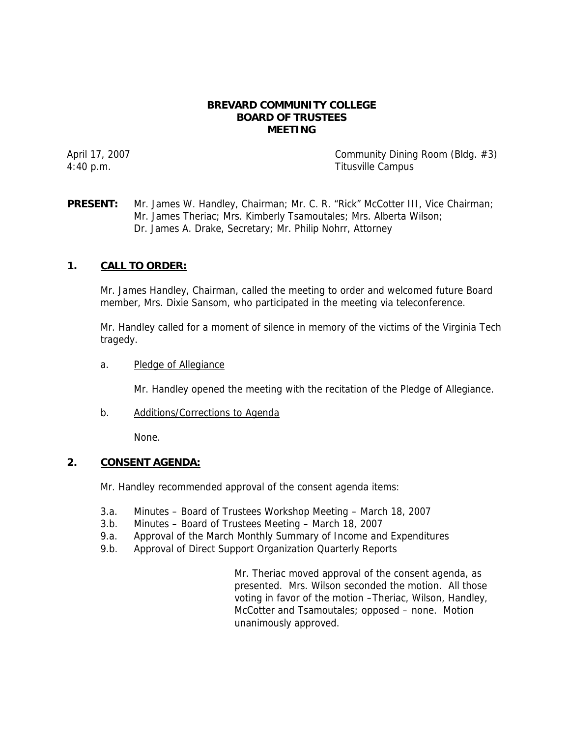#### **BREVARD COMMUNITY COLLEGE BOARD OF TRUSTEES MEETING**

April 17, 2007 **Community Dining Room (Bldg. #3)** 4:40 p.m. Titusville Campus

# **PRESENT:** Mr. James W. Handley, Chairman; Mr. C. R. "Rick" McCotter III, Vice Chairman; Mr. James Theriac; Mrs. Kimberly Tsamoutales; Mrs. Alberta Wilson; Dr. James A. Drake, Secretary; Mr. Philip Nohrr, Attorney

# **1. CALL TO ORDER:**

Mr. James Handley, Chairman, called the meeting to order and welcomed future Board member, Mrs. Dixie Sansom, who participated in the meeting via teleconference.

Mr. Handley called for a moment of silence in memory of the victims of the Virginia Tech tragedy.

a. Pledge of Allegiance

Mr. Handley opened the meeting with the recitation of the Pledge of Allegiance.

b. Additions/Corrections to Agenda

None.

# **2. CONSENT AGENDA:**

Mr. Handley recommended approval of the consent agenda items:

- 3.a. Minutes Board of Trustees Workshop Meeting March 18, 2007
- 3.b. Minutes Board of Trustees Meeting March 18, 2007
- 9.a. Approval of the March Monthly Summary of Income and Expenditures
- 9.b. Approval of Direct Support Organization Quarterly Reports

Mr. Theriac moved approval of the consent agenda, as presented. Mrs. Wilson seconded the motion. All those voting in favor of the motion –Theriac, Wilson, Handley, McCotter and Tsamoutales; opposed – none. Motion unanimously approved.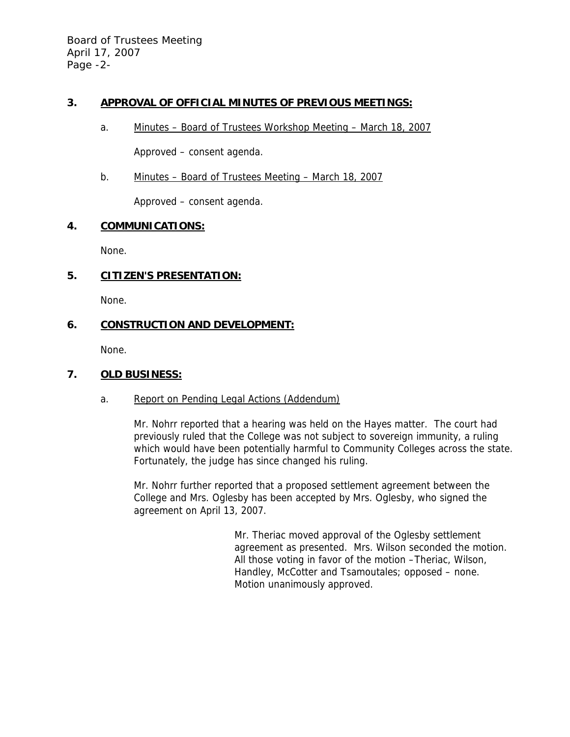Board of Trustees Meeting April 17, 2007 Page -2-

# **3. APPROVAL OF OFFICIAL MINUTES OF PREVIOUS MEETINGS:**

a. Minutes – Board of Trustees Workshop Meeting – March 18, 2007

Approved – consent agenda.

b. Minutes – Board of Trustees Meeting – March 18, 2007

Approved – consent agenda.

### **4. COMMUNICATIONS:**

None.

# **5. CITIZEN'S PRESENTATION:**

None.

# **6. CONSTRUCTION AND DEVELOPMENT:**

None.

# **7. OLD BUSINESS:**

### a. Report on Pending Legal Actions (Addendum)

Mr. Nohrr reported that a hearing was held on the Hayes matter. The court had previously ruled that the College was not subject to sovereign immunity, a ruling which would have been potentially harmful to Community Colleges across the state. Fortunately, the judge has since changed his ruling.

Mr. Nohrr further reported that a proposed settlement agreement between the College and Mrs. Oglesby has been accepted by Mrs. Oglesby, who signed the agreement on April 13, 2007.

> Mr. Theriac moved approval of the Oglesby settlement agreement as presented. Mrs. Wilson seconded the motion. All those voting in favor of the motion –Theriac, Wilson, Handley, McCotter and Tsamoutales; opposed – none. Motion unanimously approved.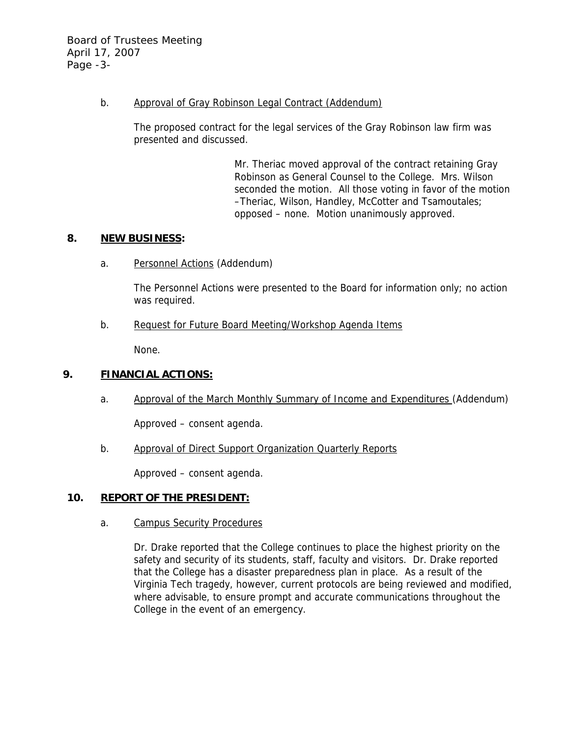Board of Trustees Meeting April 17, 2007 Page -3-

#### b. Approval of Gray Robinson Legal Contract (Addendum)

The proposed contract for the legal services of the Gray Robinson law firm was presented and discussed.

> Mr. Theriac moved approval of the contract retaining Gray Robinson as General Counsel to the College. Mrs. Wilson seconded the motion. All those voting in favor of the motion –Theriac, Wilson, Handley, McCotter and Tsamoutales; opposed – none. Motion unanimously approved.

#### **8. NEW BUSINESS:**

a. Personnel Actions (Addendum)

The Personnel Actions were presented to the Board for information only; no action was required.

b. Request for Future Board Meeting/Workshop Agenda Items

None.

# **9. FINANCIAL ACTIONS:**

a. Approval of the March Monthly Summary of Income and Expenditures (Addendum)

Approved – consent agenda.

b. Approval of Direct Support Organization Quarterly Reports

Approved – consent agenda.

### **10. REPORT OF THE PRESIDENT:**

a. Campus Security Procedures

Dr. Drake reported that the College continues to place the highest priority on the safety and security of its students, staff, faculty and visitors. Dr. Drake reported that the College has a disaster preparedness plan in place. As a result of the Virginia Tech tragedy, however, current protocols are being reviewed and modified, where advisable, to ensure prompt and accurate communications throughout the College in the event of an emergency.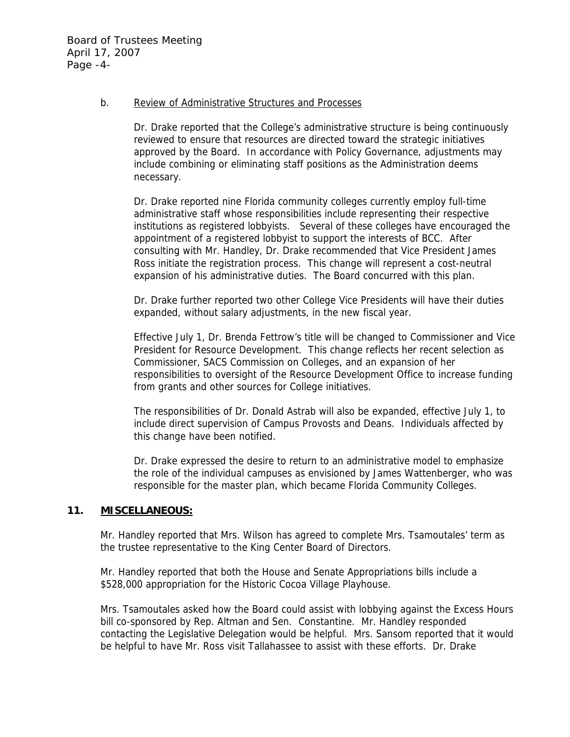#### b. Review of Administrative Structures and Processes

Dr. Drake reported that the College's administrative structure is being continuously reviewed to ensure that resources are directed toward the strategic initiatives approved by the Board. In accordance with Policy Governance, adjustments may include combining or eliminating staff positions as the Administration deems necessary.

Dr. Drake reported nine Florida community colleges currently employ full-time administrative staff whose responsibilities include representing their respective institutions as registered lobbyists. Several of these colleges have encouraged the appointment of a registered lobbyist to support the interests of BCC. After consulting with Mr. Handley, Dr. Drake recommended that Vice President James Ross initiate the registration process. This change will represent a cost-neutral expansion of his administrative duties. The Board concurred with this plan.

Dr. Drake further reported two other College Vice Presidents will have their duties expanded, without salary adjustments, in the new fiscal year.

Effective July 1, Dr. Brenda Fettrow's title will be changed to Commissioner and Vice President for Resource Development. This change reflects her recent selection as Commissioner, SACS Commission on Colleges, and an expansion of her responsibilities to oversight of the Resource Development Office to increase funding from grants and other sources for College initiatives.

The responsibilities of Dr. Donald Astrab will also be expanded, effective July 1, to include direct supervision of Campus Provosts and Deans. Individuals affected by this change have been notified.

Dr. Drake expressed the desire to return to an administrative model to emphasize the role of the individual campuses as envisioned by James Wattenberger, who was responsible for the master plan, which became Florida Community Colleges.

#### **11. MISCELLANEOUS:**

Mr. Handley reported that Mrs. Wilson has agreed to complete Mrs. Tsamoutales' term as the trustee representative to the King Center Board of Directors.

Mr. Handley reported that both the House and Senate Appropriations bills include a \$528,000 appropriation for the Historic Cocoa Village Playhouse.

Mrs. Tsamoutales asked how the Board could assist with lobbying against the Excess Hours bill co-sponsored by Rep. Altman and Sen. Constantine. Mr. Handley responded contacting the Legislative Delegation would be helpful. Mrs. Sansom reported that it would be helpful to have Mr. Ross visit Tallahassee to assist with these efforts. Dr. Drake